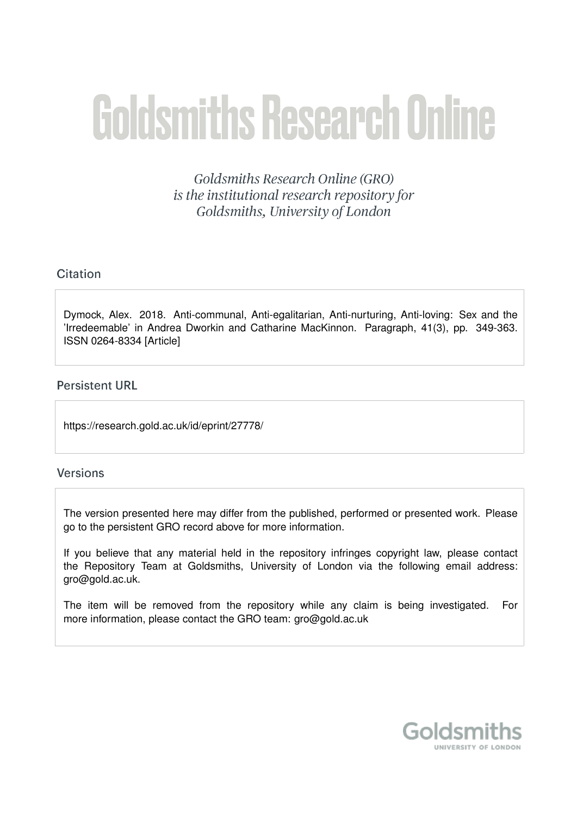# **Goldsmiths Research Online**

Goldsmiths Research Online (GRO) is the institutional research repository for Goldsmiths, University of London

# Citation

Dymock, Alex. 2018. Anti-communal, Anti-egalitarian, Anti-nurturing, Anti-loving: Sex and the 'Irredeemable' in Andrea Dworkin and Catharine MacKinnon. Paragraph, 41(3), pp. 349-363. ISSN 0264-8334 [Article]

# **Persistent URL**

https://research.gold.ac.uk/id/eprint/27778/

# **Versions**

The version presented here may differ from the published, performed or presented work. Please go to the persistent GRO record above for more information.

If you believe that any material held in the repository infringes copyright law, please contact the Repository Team at Goldsmiths, University of London via the following email address: gro@gold.ac.uk.

The item will be removed from the repository while any claim is being investigated. For more information, please contact the GRO team: gro@gold.ac.uk

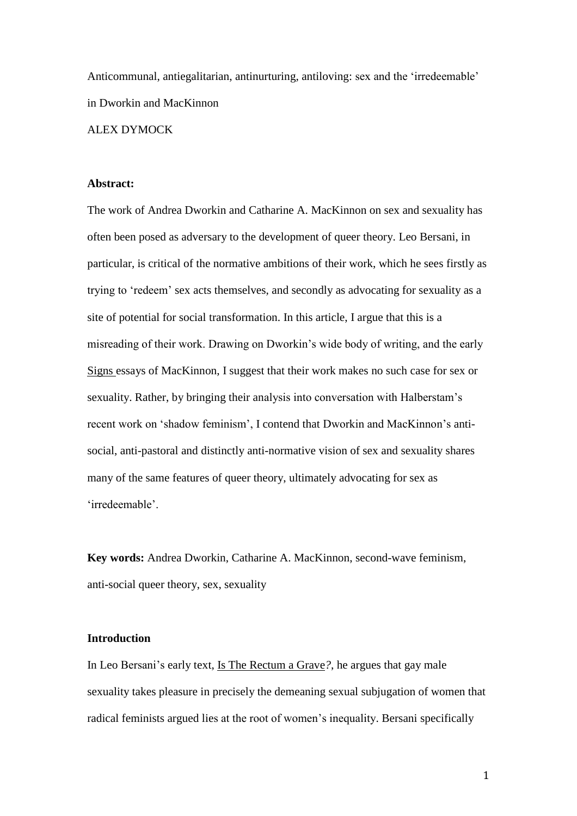Anticommunal, antiegalitarian, antinurturing, antiloving: sex and the 'irredeemable' in Dworkin and MacKinnon

## ALEX DYMOCK

#### **Abstract:**

The work of Andrea Dworkin and Catharine A. MacKinnon on sex and sexuality has often been posed as adversary to the development of queer theory. Leo Bersani, in particular, is critical of the normative ambitions of their work, which he sees firstly as trying to 'redeem' sex acts themselves, and secondly as advocating for sexuality as a site of potential for social transformation. In this article, I argue that this is a misreading of their work. Drawing on Dworkin's wide body of writing, and the early Signs essays of MacKinnon, I suggest that their work makes no such case for sex or sexuality. Rather, by bringing their analysis into conversation with Halberstam's recent work on 'shadow feminism', I contend that Dworkin and MacKinnon's antisocial, anti-pastoral and distinctly anti-normative vision of sex and sexuality shares many of the same features of queer theory, ultimately advocating for sex as 'irredeemable'.

**Key words:** Andrea Dworkin, Catharine A. MacKinnon, second-wave feminism, anti-social queer theory, sex, sexuality

## **Introduction**

In Leo Bersani's early text, Is The Rectum a Grave*?*, he argues that gay male sexuality takes pleasure in precisely the demeaning sexual subjugation of women that radical feminists argued lies at the root of women's inequality. Bersani specifically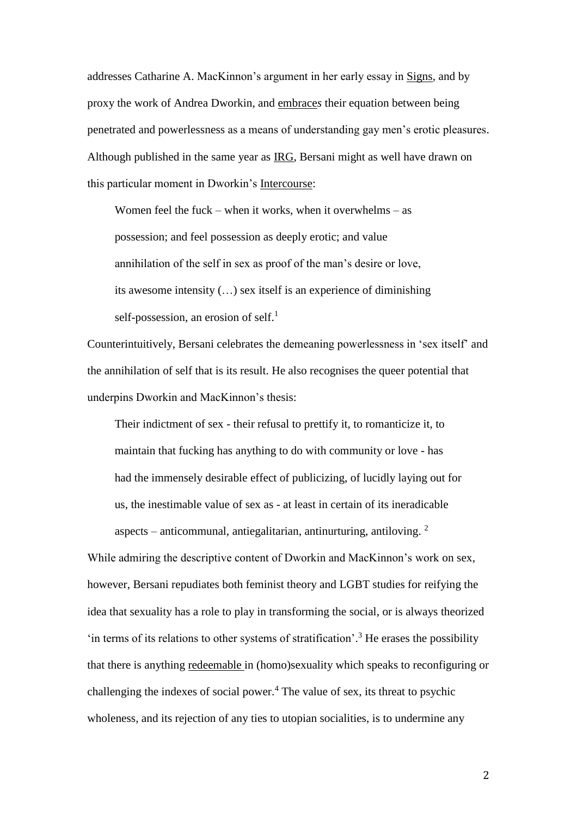addresses Catharine A. MacKinnon's argument in her early essay in Signs, and by proxy the work of Andrea Dworkin, and embrace*s* their equation between being penetrated and powerlessness as a means of understanding gay men's erotic pleasures. Although published in the same year as IRG, Bersani might as well have drawn on this particular moment in Dworkin's Intercourse:

Women feel the fuck – when it works, when it overwhelms – as possession; and feel possession as deeply erotic; and value annihilation of the self in sex as proof of the man's desire or love, its awesome intensity (…) sex itself is an experience of diminishing self-possession, an erosion of self. $<sup>1</sup>$ </sup>

Counterintuitively, Bersani celebrates the demeaning powerlessness in 'sex itself' and the annihilation of self that is its result. He also recognises the queer potential that underpins Dworkin and MacKinnon's thesis:

Their indictment of sex - their refusal to prettify it, to romanticize it, to maintain that fucking has anything to do with community or love - has had the immensely desirable effect of publicizing, of lucidly laying out for us, the inestimable value of sex as - at least in certain of its ineradicable aspects – anticommunal, antiegalitarian, antinurturing, antiloving.  $2$ 

While admiring the descriptive content of Dworkin and MacKinnon's work on sex, however, Bersani repudiates both feminist theory and LGBT studies for reifying the idea that sexuality has a role to play in transforming the social, or is always theorized  $\cdot$  in terms of its relations to other systems of stratification'.<sup>3</sup> He erases the possibility that there is anything redeemable in (homo)sexuality which speaks to reconfiguring or challenging the indexes of social power. $4$  The value of sex, its threat to psychic wholeness, and its rejection of any ties to utopian socialities, is to undermine any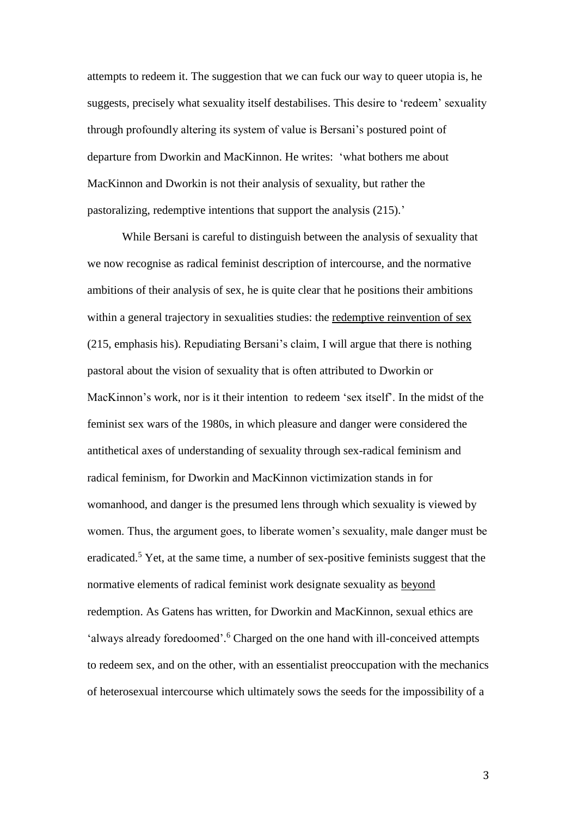attempts to redeem it. The suggestion that we can fuck our way to queer utopia is, he suggests, precisely what sexuality itself destabilises. This desire to 'redeem' sexuality through profoundly altering its system of value is Bersani's postured point of departure from Dworkin and MacKinnon. He writes: 'what bothers me about MacKinnon and Dworkin is not their analysis of sexuality, but rather the pastoralizing, redemptive intentions that support the analysis (215).'

While Bersani is careful to distinguish between the analysis of sexuality that we now recognise as radical feminist description of intercourse, and the normative ambitions of their analysis of sex, he is quite clear that he positions their ambitions within a general trajectory in sexualities studies: the redemptive reinvention of sex (215, emphasis his). Repudiating Bersani's claim, I will argue that there is nothing pastoral about the vision of sexuality that is often attributed to Dworkin or MacKinnon's work, nor is it their intention to redeem 'sex itself'. In the midst of the feminist sex wars of the 1980s, in which pleasure and danger were considered the antithetical axes of understanding of sexuality through sex-radical feminism and radical feminism, for Dworkin and MacKinnon victimization stands in for womanhood, and danger is the presumed lens through which sexuality is viewed by women. Thus, the argument goes, to liberate women's sexuality, male danger must be eradicated.<sup>5</sup> Yet, at the same time, a number of sex-positive feminists suggest that the normative elements of radical feminist work designate sexuality as beyond redemption. As Gatens has written, for Dworkin and MacKinnon, sexual ethics are 'always already foredoomed'.<sup>6</sup> Charged on the one hand with ill-conceived attempts to redeem sex, and on the other, with an essentialist preoccupation with the mechanics of heterosexual intercourse which ultimately sows the seeds for the impossibility of a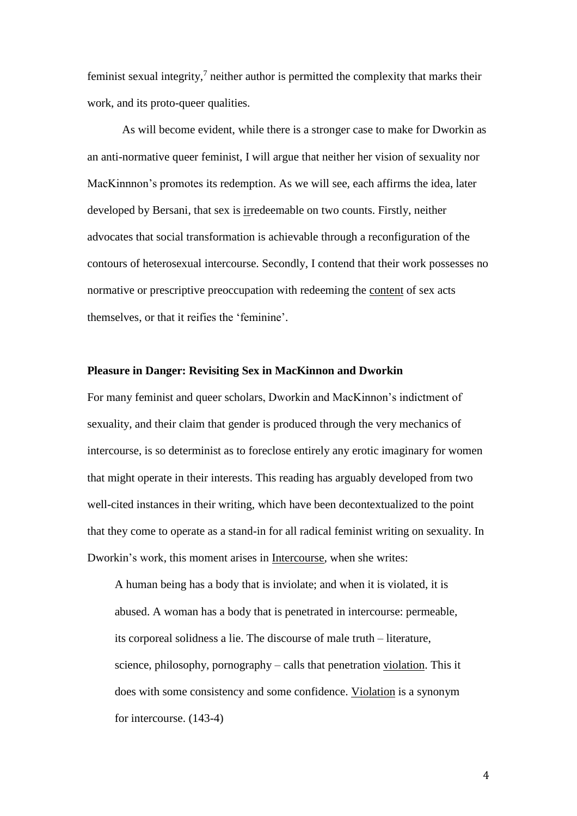feminist sexual integrity, $\lambda$  neither author is permitted the complexity that marks their work, and its proto-queer qualities.

As will become evident, while there is a stronger case to make for Dworkin as an anti-normative queer feminist, I will argue that neither her vision of sexuality nor MacKinnnon's promotes its redemption. As we will see, each affirms the idea, later developed by Bersani, that sex is irredeemable on two counts. Firstly, neither advocates that social transformation is achievable through a reconfiguration of the contours of heterosexual intercourse. Secondly, I contend that their work possesses no normative or prescriptive preoccupation with redeeming the content of sex acts themselves, or that it reifies the 'feminine'.

#### **Pleasure in Danger: Revisiting Sex in MacKinnon and Dworkin**

For many feminist and queer scholars, Dworkin and MacKinnon's indictment of sexuality, and their claim that gender is produced through the very mechanics of intercourse, is so determinist as to foreclose entirely any erotic imaginary for women that might operate in their interests. This reading has arguably developed from two well-cited instances in their writing, which have been decontextualized to the point that they come to operate as a stand-in for all radical feminist writing on sexuality. In Dworkin's work, this moment arises in Intercourse, when she writes:

A human being has a body that is inviolate; and when it is violated, it is abused. A woman has a body that is penetrated in intercourse: permeable, its corporeal solidness a lie. The discourse of male truth – literature, science, philosophy, pornography – calls that penetration violation. This it does with some consistency and some confidence. Violation is a synonym for intercourse. (143-4)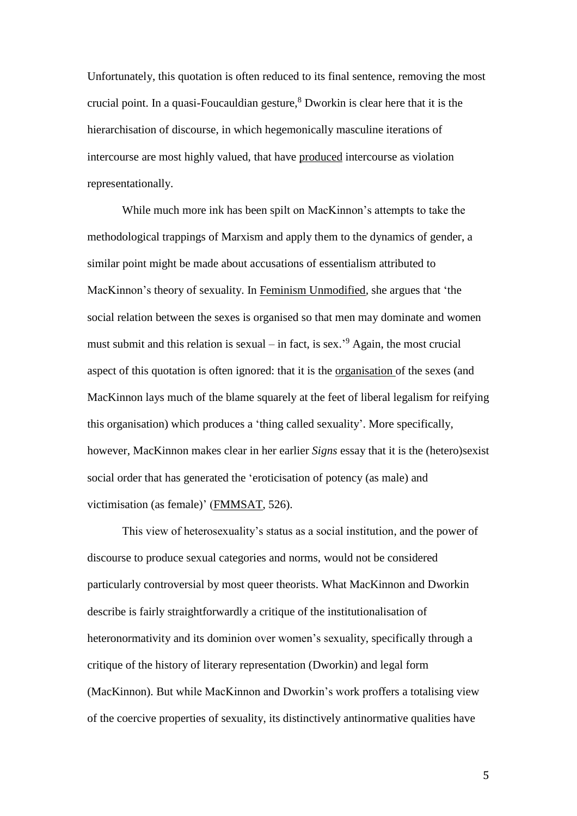Unfortunately, this quotation is often reduced to its final sentence, removing the most crucial point. In a quasi-Foucauldian gesture, <sup>8</sup> Dworkin is clear here that it is the hierarchisation of discourse, in which hegemonically masculine iterations of intercourse are most highly valued, that have produced intercourse as violation representationally.

While much more ink has been spilt on MacKinnon's attempts to take the methodological trappings of Marxism and apply them to the dynamics of gender, a similar point might be made about accusations of essentialism attributed to MacKinnon's theory of sexuality. In Feminism Unmodified*,* she argues that 'the social relation between the sexes is organised so that men may dominate and women must submit and this relation is sexual – in fact, is sex.<sup>'9</sup> Again, the most crucial aspect of this quotation is often ignored: that it is the organisation of the sexes (and MacKinnon lays much of the blame squarely at the feet of liberal legalism for reifying this organisation) which produces a 'thing called sexuality'. More specifically, however, MacKinnon makes clear in her earlier *Signs* essay that it is the (hetero)sexist social order that has generated the 'eroticisation of potency (as male) and victimisation (as female)' (FMMSAT, 526).

This view of heterosexuality's status as a social institution, and the power of discourse to produce sexual categories and norms, would not be considered particularly controversial by most queer theorists. What MacKinnon and Dworkin describe is fairly straightforwardly a critique of the institutionalisation of heteronormativity and its dominion over women's sexuality, specifically through a critique of the history of literary representation (Dworkin) and legal form (MacKinnon). But while MacKinnon and Dworkin's work proffers a totalising view of the coercive properties of sexuality, its distinctively antinormative qualities have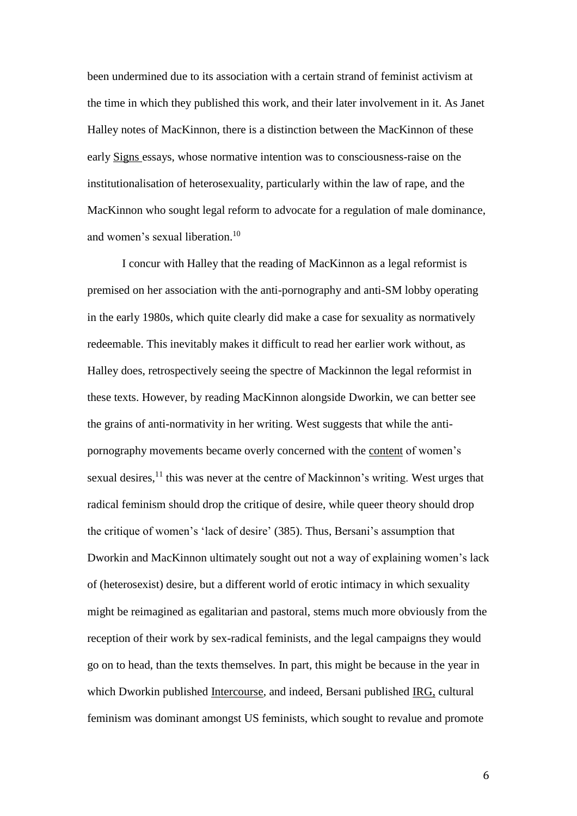been undermined due to its association with a certain strand of feminist activism at the time in which they published this work, and their later involvement in it. As Janet Halley notes of MacKinnon, there is a distinction between the MacKinnon of these early Signs essays, whose normative intention was to consciousness-raise on the institutionalisation of heterosexuality, particularly within the law of rape, and the MacKinnon who sought legal reform to advocate for a regulation of male dominance, and women's sexual liberation. 10

I concur with Halley that the reading of MacKinnon as a legal reformist is premised on her association with the anti-pornography and anti-SM lobby operating in the early 1980s, which quite clearly did make a case for sexuality as normatively redeemable. This inevitably makes it difficult to read her earlier work without, as Halley does, retrospectively seeing the spectre of Mackinnon the legal reformist in these texts. However, by reading MacKinnon alongside Dworkin, we can better see the grains of anti-normativity in her writing. West suggests that while the antipornography movements became overly concerned with the content of women's sexual desires,<sup>11</sup> this was never at the centre of Mackinnon's writing. West urges that radical feminism should drop the critique of desire, while queer theory should drop the critique of women's 'lack of desire' (385). Thus, Bersani's assumption that Dworkin and MacKinnon ultimately sought out not a way of explaining women's lack of (heterosexist) desire, but a different world of erotic intimacy in which sexuality might be reimagined as egalitarian and pastoral, stems much more obviously from the reception of their work by sex-radical feminists, and the legal campaigns they would go on to head, than the texts themselves. In part, this might be because in the year in which Dworkin published Intercourse, and indeed, Bersani published IRG, cultural feminism was dominant amongst US feminists, which sought to revalue and promote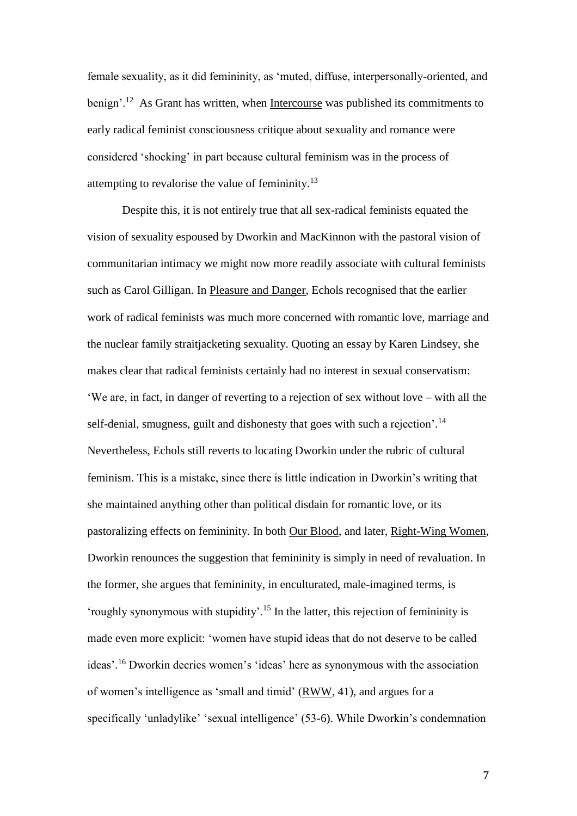female sexuality, as it did femininity, as 'muted, diffuse, interpersonally-oriented, and benign'.<sup>12</sup> As Grant has written, when Intercourse was published its commitments to early radical feminist consciousness critique about sexuality and romance were considered 'shocking' in part because cultural feminism was in the process of attempting to revalorise the value of femininity. $13$ 

Despite this, it is not entirely true that all sex-radical feminists equated the vision of sexuality espoused by Dworkin and MacKinnon with the pastoral vision of communitarian intimacy we might now more readily associate with cultural feminists such as Carol Gilligan. In Pleasure and Danger, Echols recognised that the earlier work of radical feminists was much more concerned with romantic love, marriage and the nuclear family straitjacketing sexuality. Quoting an essay by Karen Lindsey, she makes clear that radical feminists certainly had no interest in sexual conservatism: 'We are, in fact, in danger of reverting to a rejection of sex without love – with all the self-denial, smugness, guilt and dishonesty that goes with such a rejection'.<sup>14</sup> Nevertheless, Echols still reverts to locating Dworkin under the rubric of cultural feminism. This is a mistake, since there is little indication in Dworkin's writing that she maintained anything other than political disdain for romantic love, or its pastoralizing effects on femininity. In both Our Blood, and later, Right-Wing Women, Dworkin renounces the suggestion that femininity is simply in need of revaluation. In the former, she argues that femininity, in enculturated, male-imagined terms, is 'roughly synonymous with stupidity'.<sup>15</sup> In the latter, this rejection of femininity is made even more explicit: 'women have stupid ideas that do not deserve to be called ideas'. <sup>16</sup> Dworkin decries women's 'ideas' here as synonymous with the association of women's intelligence as 'small and timid' (RWW, 41), and argues for a specifically 'unladylike' 'sexual intelligence' (53-6). While Dworkin's condemnation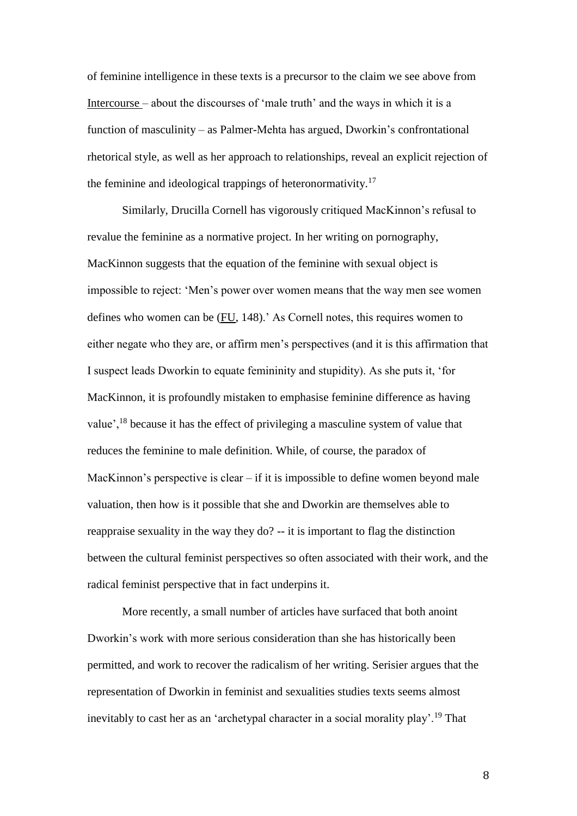of feminine intelligence in these texts is a precursor to the claim we see above from Intercourse – about the discourses of 'male truth' and the ways in which it is a function of masculinity – as Palmer-Mehta has argued, Dworkin's confrontational rhetorical style, as well as her approach to relationships, reveal an explicit rejection of the feminine and ideological trappings of heteronormativity.<sup>17</sup>

Similarly, Drucilla Cornell has vigorously critiqued MacKinnon's refusal to revalue the feminine as a normative project. In her writing on pornography, MacKinnon suggests that the equation of the feminine with sexual object is impossible to reject: 'Men's power over women means that the way men see women defines who women can be (FU, 148).' As Cornell notes, this requires women to either negate who they are, or affirm men's perspectives (and it is this affirmation that I suspect leads Dworkin to equate femininity and stupidity). As she puts it, 'for MacKinnon, it is profoundly mistaken to emphasise feminine difference as having value',<sup>18</sup> because it has the effect of privileging a masculine system of value that reduces the feminine to male definition. While, of course, the paradox of MacKinnon's perspective is clear – if it is impossible to define women beyond male valuation, then how is it possible that she and Dworkin are themselves able to reappraise sexuality in the way they do? -- it is important to flag the distinction between the cultural feminist perspectives so often associated with their work, and the radical feminist perspective that in fact underpins it.

More recently, a small number of articles have surfaced that both anoint Dworkin's work with more serious consideration than she has historically been permitted, and work to recover the radicalism of her writing. Serisier argues that the representation of Dworkin in feminist and sexualities studies texts seems almost inevitably to cast her as an 'archetypal character in a social morality play'.<sup>19</sup> That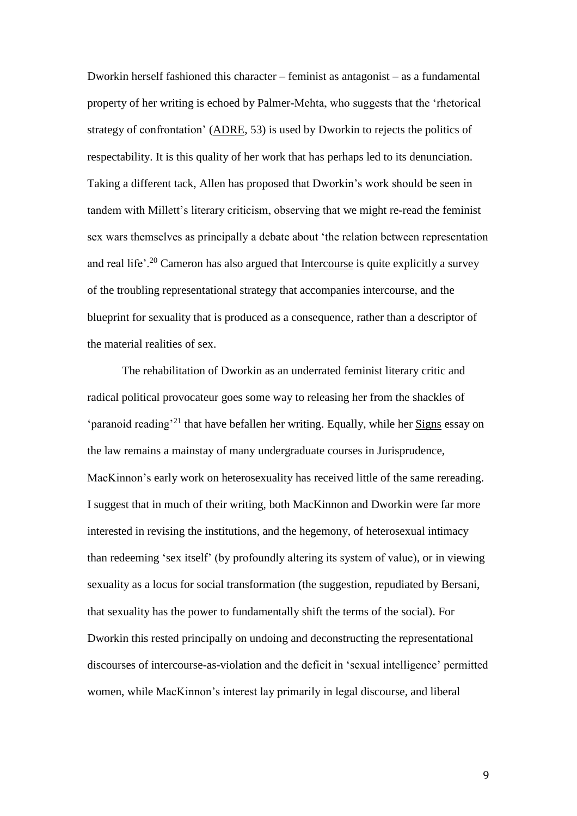Dworkin herself fashioned this character – feminist as antagonist – as a fundamental property of her writing is echoed by Palmer-Mehta, who suggests that the 'rhetorical strategy of confrontation' (ADRE, 53) is used by Dworkin to rejects the politics of respectability. It is this quality of her work that has perhaps led to its denunciation. Taking a different tack, Allen has proposed that Dworkin's work should be seen in tandem with Millett's literary criticism, observing that we might re-read the feminist sex wars themselves as principally a debate about 'the relation between representation and real life'.<sup>20</sup> Cameron has also argued that Intercourse is quite explicitly a survey of the troubling representational strategy that accompanies intercourse, and the blueprint for sexuality that is produced as a consequence, rather than a descriptor of the material realities of sex.

The rehabilitation of Dworkin as an underrated feminist literary critic and radical political provocateur goes some way to releasing her from the shackles of 'paranoid reading'<sup>21</sup> that have befallen her writing. Equally, while her Signs essay on the law remains a mainstay of many undergraduate courses in Jurisprudence, MacKinnon's early work on heterosexuality has received little of the same rereading. I suggest that in much of their writing, both MacKinnon and Dworkin were far more interested in revising the institutions, and the hegemony, of heterosexual intimacy than redeeming 'sex itself' (by profoundly altering its system of value), or in viewing sexuality as a locus for social transformation (the suggestion, repudiated by Bersani, that sexuality has the power to fundamentally shift the terms of the social). For Dworkin this rested principally on undoing and deconstructing the representational discourses of intercourse-as-violation and the deficit in 'sexual intelligence' permitted women, while MacKinnon's interest lay primarily in legal discourse, and liberal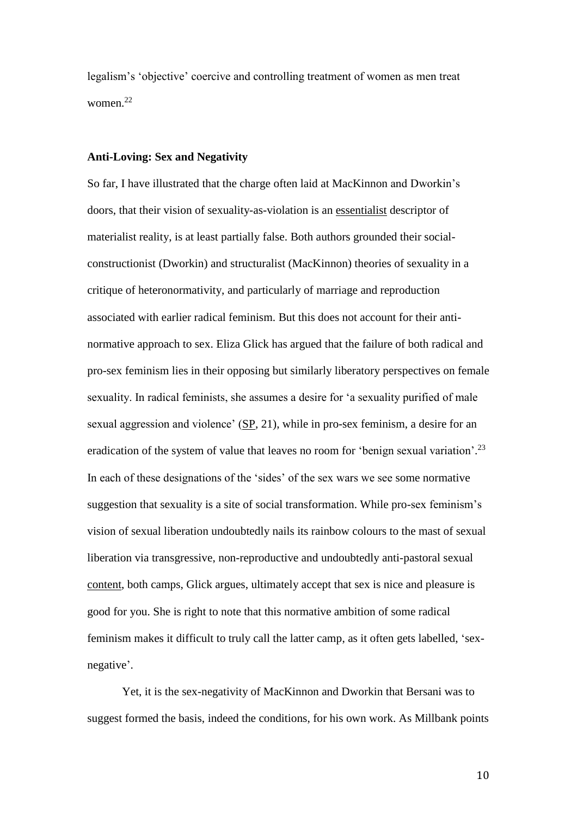legalism's 'objective' coercive and controlling treatment of women as men treat women. 22

#### **Anti-Loving: Sex and Negativity**

So far, I have illustrated that the charge often laid at MacKinnon and Dworkin's doors, that their vision of sexuality-as-violation is an essentialist descriptor of materialist reality, is at least partially false. Both authors grounded their socialconstructionist (Dworkin) and structuralist (MacKinnon) theories of sexuality in a critique of heteronormativity, and particularly of marriage and reproduction associated with earlier radical feminism. But this does not account for their antinormative approach to sex. Eliza Glick has argued that the failure of both radical and pro-sex feminism lies in their opposing but similarly liberatory perspectives on female sexuality. In radical feminists, she assumes a desire for 'a sexuality purified of male sexual aggression and violence' (SP, 21), while in pro-sex feminism, a desire for an eradication of the system of value that leaves no room for 'benign sexual variation'.<sup>23</sup> In each of these designations of the 'sides' of the sex wars we see some normative suggestion that sexuality is a site of social transformation. While pro-sex feminism's vision of sexual liberation undoubtedly nails its rainbow colours to the mast of sexual liberation via transgressive, non-reproductive and undoubtedly anti-pastoral sexual content, both camps, Glick argues, ultimately accept that sex is nice and pleasure is good for you. She is right to note that this normative ambition of some radical feminism makes it difficult to truly call the latter camp, as it often gets labelled, 'sexnegative'.

Yet, it is the sex-negativity of MacKinnon and Dworkin that Bersani was to suggest formed the basis, indeed the conditions, for his own work. As Millbank points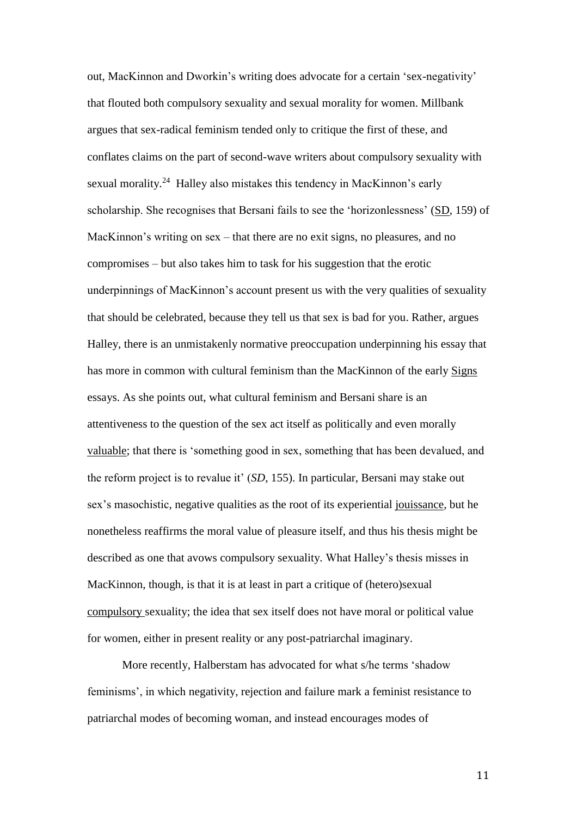out, MacKinnon and Dworkin's writing does advocate for a certain 'sex-negativity' that flouted both compulsory sexuality and sexual morality for women. Millbank argues that sex-radical feminism tended only to critique the first of these, and conflates claims on the part of second-wave writers about compulsory sexuality with sexual morality.<sup>24</sup> Halley also mistakes this tendency in MacKinnon's early scholarship. She recognises that Bersani fails to see the 'horizonlessness' (SD, 159) of MacKinnon's writing on sex – that there are no exit signs, no pleasures, and no compromises – but also takes him to task for his suggestion that the erotic underpinnings of MacKinnon's account present us with the very qualities of sexuality that should be celebrated, because they tell us that sex is bad for you. Rather, argues Halley, there is an unmistakenly normative preoccupation underpinning his essay that has more in common with cultural feminism than the MacKinnon of the early Signs essays. As she points out, what cultural feminism and Bersani share is an attentiveness to the question of the sex act itself as politically and even morally valuable; that there is 'something good in sex, something that has been devalued, and the reform project is to revalue it' (*SD*, 155). In particular, Bersani may stake out sex's masochistic, negative qualities as the root of its experiential jouissance, but he nonetheless reaffirms the moral value of pleasure itself, and thus his thesis might be described as one that avows compulsory sexuality. What Halley's thesis misses in MacKinnon, though, is that it is at least in part a critique of (hetero)sexual compulsory sexuality; the idea that sex itself does not have moral or political value for women, either in present reality or any post-patriarchal imaginary.

More recently, Halberstam has advocated for what s/he terms 'shadow feminisms', in which negativity, rejection and failure mark a feminist resistance to patriarchal modes of becoming woman, and instead encourages modes of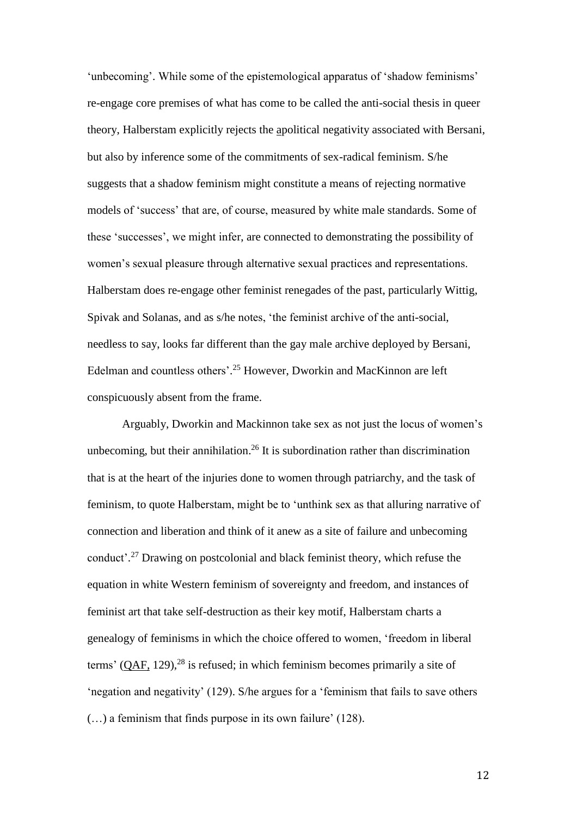'unbecoming'. While some of the epistemological apparatus of 'shadow feminisms' re-engage core premises of what has come to be called the anti-social thesis in queer theory, Halberstam explicitly rejects the apolitical negativity associated with Bersani, but also by inference some of the commitments of sex-radical feminism. S/he suggests that a shadow feminism might constitute a means of rejecting normative models of 'success' that are, of course, measured by white male standards. Some of these 'successes', we might infer, are connected to demonstrating the possibility of women's sexual pleasure through alternative sexual practices and representations. Halberstam does re-engage other feminist renegades of the past, particularly Wittig, Spivak and Solanas, and as s/he notes, 'the feminist archive of the anti-social, needless to say, looks far different than the gay male archive deployed by Bersani, Edelman and countless others'. <sup>25</sup> However, Dworkin and MacKinnon are left conspicuously absent from the frame.

Arguably, Dworkin and Mackinnon take sex as not just the locus of women's unbecoming, but their annihilation.<sup>26</sup> It is subordination rather than discrimination that is at the heart of the injuries done to women through patriarchy, and the task of feminism, to quote Halberstam, might be to 'unthink sex as that alluring narrative of connection and liberation and think of it anew as a site of failure and unbecoming conduct'. <sup>27</sup> Drawing on postcolonial and black feminist theory, which refuse the equation in white Western feminism of sovereignty and freedom, and instances of feminist art that take self-destruction as their key motif, Halberstam charts a genealogy of feminisms in which the choice offered to women, 'freedom in liberal terms'  $(QAF, 129)$ ,<sup>28</sup> is refused; in which feminism becomes primarily a site of 'negation and negativity' (129). S/he argues for a 'feminism that fails to save others (…) a feminism that finds purpose in its own failure' (128).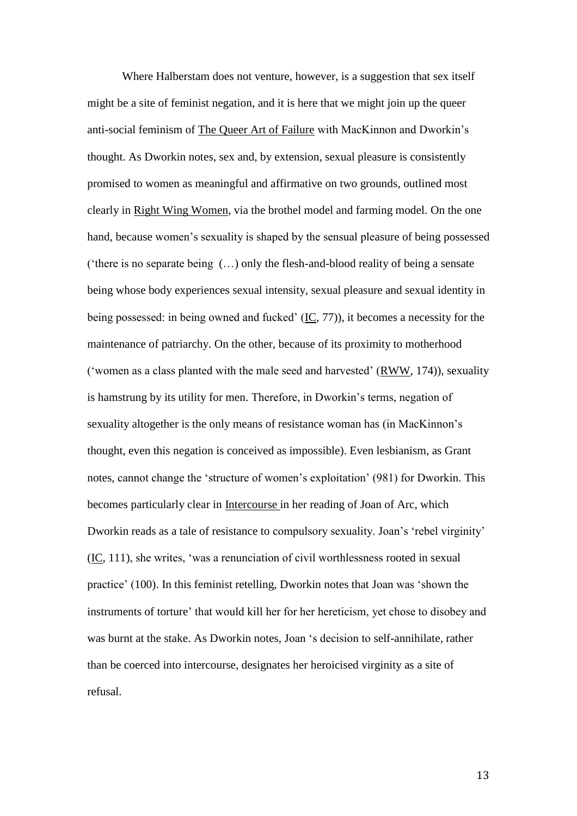Where Halberstam does not venture, however, is a suggestion that sex itself might be a site of feminist negation, and it is here that we might join up the queer anti-social feminism of The Queer Art of Failure with MacKinnon and Dworkin's thought. As Dworkin notes, sex and, by extension, sexual pleasure is consistently promised to women as meaningful and affirmative on two grounds, outlined most clearly in Right Wing Women, via the brothel model and farming model. On the one hand, because women's sexuality is shaped by the sensual pleasure of being possessed ('there is no separate being (…) only the flesh-and-blood reality of being a sensate being whose body experiences sexual intensity, sexual pleasure and sexual identity in being possessed: in being owned and fucked' (IC, 77)), it becomes a necessity for the maintenance of patriarchy. On the other, because of its proximity to motherhood ('women as a class planted with the male seed and harvested' (RWW, 174)), sexuality is hamstrung by its utility for men. Therefore, in Dworkin's terms, negation of sexuality altogether is the only means of resistance woman has (in MacKinnon's thought, even this negation is conceived as impossible). Even lesbianism, as Grant notes, cannot change the 'structure of women's exploitation' (981) for Dworkin. This becomes particularly clear in Intercourse in her reading of Joan of Arc, which Dworkin reads as a tale of resistance to compulsory sexuality. Joan's 'rebel virginity' (IC, 111), she writes, 'was a renunciation of civil worthlessness rooted in sexual practice' (100). In this feminist retelling, Dworkin notes that Joan was 'shown the instruments of torture' that would kill her for her hereticism, yet chose to disobey and was burnt at the stake. As Dworkin notes, Joan 's decision to self-annihilate, rather than be coerced into intercourse, designates her heroicised virginity as a site of refusal.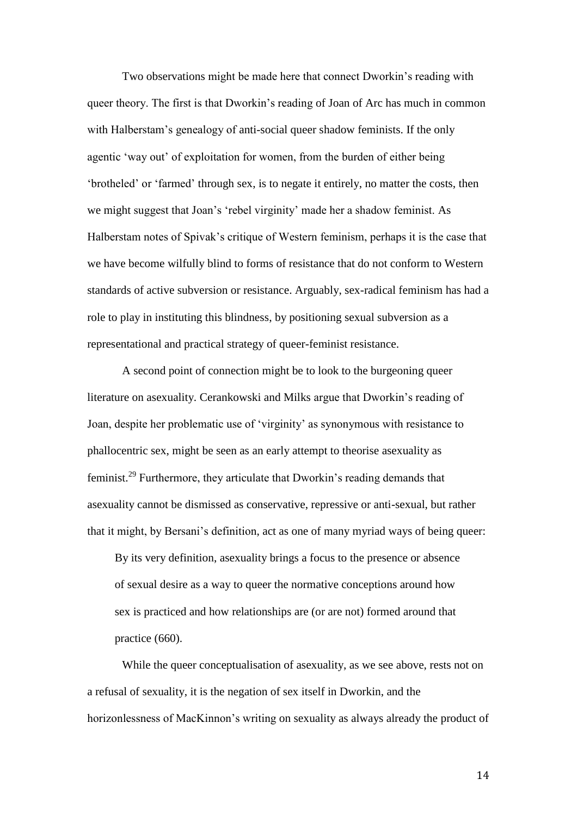Two observations might be made here that connect Dworkin's reading with queer theory. The first is that Dworkin's reading of Joan of Arc has much in common with Halberstam's genealogy of anti-social queer shadow feminists. If the only agentic 'way out' of exploitation for women, from the burden of either being 'brotheled' or 'farmed' through sex, is to negate it entirely, no matter the costs, then we might suggest that Joan's 'rebel virginity' made her a shadow feminist. As Halberstam notes of Spivak's critique of Western feminism, perhaps it is the case that we have become wilfully blind to forms of resistance that do not conform to Western standards of active subversion or resistance. Arguably, sex-radical feminism has had a role to play in instituting this blindness, by positioning sexual subversion as a representational and practical strategy of queer-feminist resistance.

A second point of connection might be to look to the burgeoning queer literature on asexuality. Cerankowski and Milks argue that Dworkin's reading of Joan, despite her problematic use of 'virginity' as synonymous with resistance to phallocentric sex, might be seen as an early attempt to theorise asexuality as feminist.<sup>29</sup> Furthermore, they articulate that Dworkin's reading demands that asexuality cannot be dismissed as conservative, repressive or anti-sexual, but rather that it might, by Bersani's definition, act as one of many myriad ways of being queer:

By its very definition, asexuality brings a focus to the presence or absence of sexual desire as a way to queer the normative conceptions around how sex is practiced and how relationships are (or are not) formed around that practice (660).

While the queer conceptualisation of asexuality, as we see above, rests not on a refusal of sexuality, it is the negation of sex itself in Dworkin, and the horizonlessness of MacKinnon's writing on sexuality as always already the product of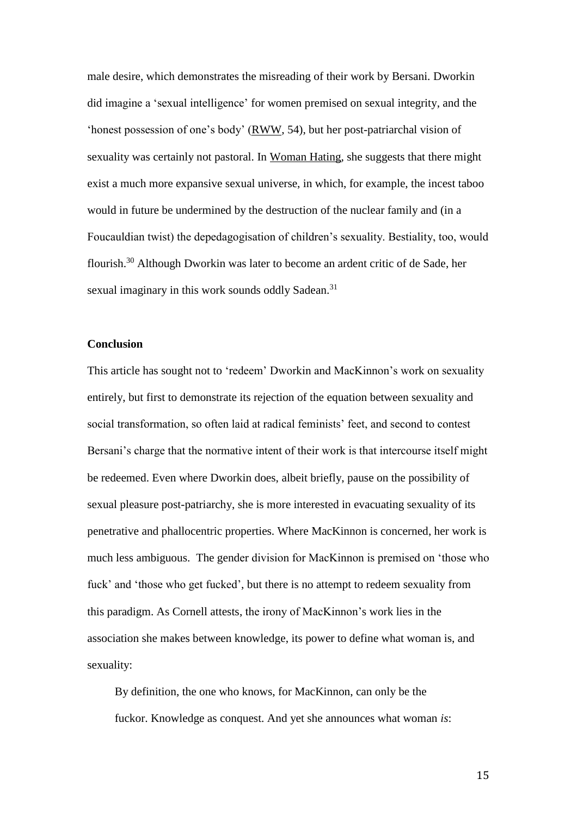male desire, which demonstrates the misreading of their work by Bersani. Dworkin did imagine a 'sexual intelligence' for women premised on sexual integrity, and the 'honest possession of one's body' (RWW, 54), but her post-patriarchal vision of sexuality was certainly not pastoral. In Woman Hating, she suggests that there might exist a much more expansive sexual universe, in which, for example, the incest taboo would in future be undermined by the destruction of the nuclear family and (in a Foucauldian twist) the depedagogisation of children's sexuality. Bestiality, too, would flourish.<sup>30</sup> Although Dworkin was later to become an ardent critic of de Sade, her sexual imaginary in this work sounds oddly Sadean.<sup>31</sup>

## **Conclusion**

This article has sought not to 'redeem' Dworkin and MacKinnon's work on sexuality entirely, but first to demonstrate its rejection of the equation between sexuality and social transformation, so often laid at radical feminists' feet, and second to contest Bersani's charge that the normative intent of their work is that intercourse itself might be redeemed. Even where Dworkin does, albeit briefly, pause on the possibility of sexual pleasure post-patriarchy, she is more interested in evacuating sexuality of its penetrative and phallocentric properties. Where MacKinnon is concerned, her work is much less ambiguous. The gender division for MacKinnon is premised on 'those who fuck' and 'those who get fucked', but there is no attempt to redeem sexuality from this paradigm. As Cornell attests, the irony of MacKinnon's work lies in the association she makes between knowledge, its power to define what woman is, and sexuality:

By definition, the one who knows, for MacKinnon, can only be the fuckor. Knowledge as conquest. And yet she announces what woman *is*: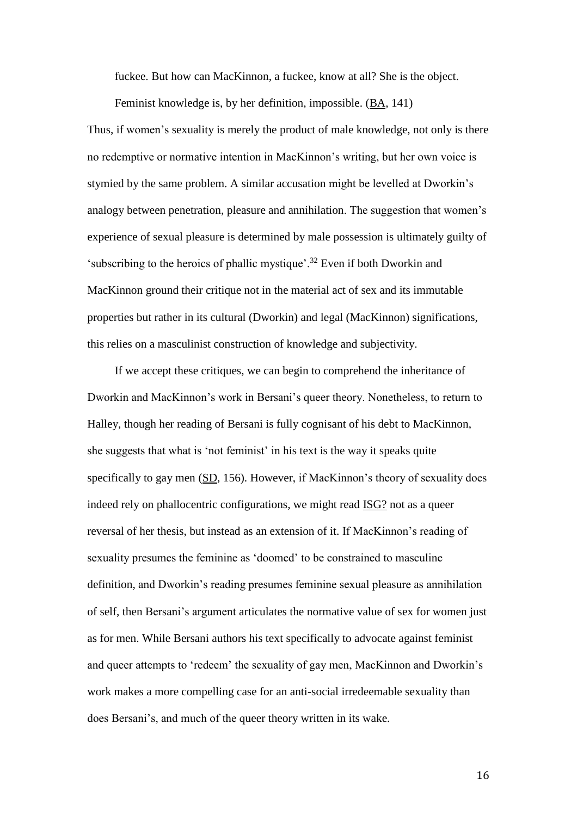fuckee. But how can MacKinnon, a fuckee, know at all? She is the object.

Feminist knowledge is, by her definition, impossible. (BA, 141)

Thus, if women's sexuality is merely the product of male knowledge, not only is there no redemptive or normative intention in MacKinnon's writing, but her own voice is stymied by the same problem. A similar accusation might be levelled at Dworkin's analogy between penetration, pleasure and annihilation. The suggestion that women's experience of sexual pleasure is determined by male possession is ultimately guilty of 'subscribing to the heroics of phallic mystique'.<sup>32</sup> Even if both Dworkin and MacKinnon ground their critique not in the material act of sex and its immutable properties but rather in its cultural (Dworkin) and legal (MacKinnon) significations, this relies on a masculinist construction of knowledge and subjectivity.

If we accept these critiques, we can begin to comprehend the inheritance of Dworkin and MacKinnon's work in Bersani's queer theory. Nonetheless, to return to Halley, though her reading of Bersani is fully cognisant of his debt to MacKinnon, she suggests that what is 'not feminist' in his text is the way it speaks quite specifically to gay men (SD, 156). However, if MacKinnon's theory of sexuality does indeed rely on phallocentric configurations, we might read ISG? not as a queer reversal of her thesis, but instead as an extension of it. If MacKinnon's reading of sexuality presumes the feminine as 'doomed' to be constrained to masculine definition, and Dworkin's reading presumes feminine sexual pleasure as annihilation of self, then Bersani's argument articulates the normative value of sex for women just as for men. While Bersani authors his text specifically to advocate against feminist and queer attempts to 'redeem' the sexuality of gay men, MacKinnon and Dworkin's work makes a more compelling case for an anti-social irredeemable sexuality than does Bersani's, and much of the queer theory written in its wake.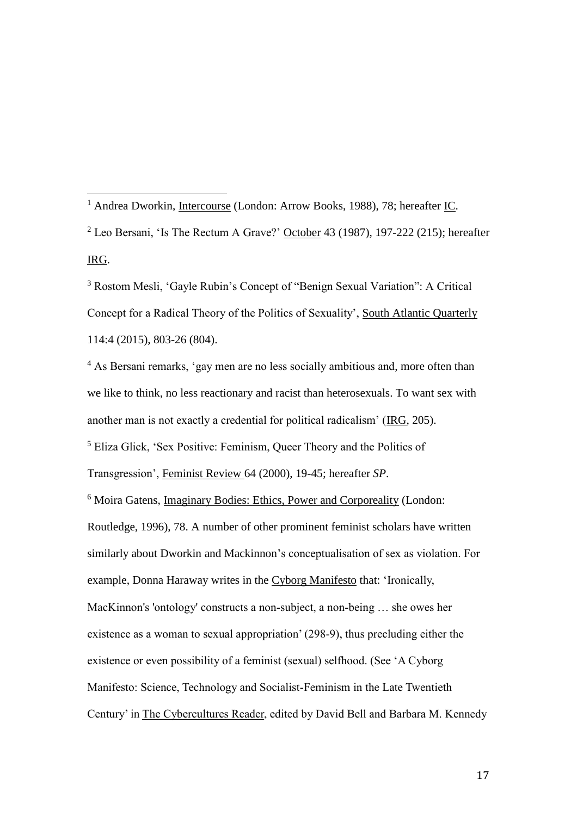<sup>1</sup> Andrea Dworkin, Intercourse (London: Arrow Books, 1988), 78; hereafter IC.  $2$  Leo Bersani, 'Is The Rectum A Grave?' October 43 (1987), 197-222 (215); hereafter IRG.

<sup>3</sup> Rostom Mesli, 'Gayle Rubin's Concept of "Benign Sexual Variation": A Critical Concept for a Radical Theory of the Politics of Sexuality', South Atlantic Quarterly 114:4 (2015), 803-26 (804).

<sup>4</sup> As Bersani remarks, 'gay men are no less socially ambitious and, more often than we like to think, no less reactionary and racist than heterosexuals. To want sex with another man is not exactly a credential for political radicalism' (IRG, 205).

<sup>5</sup> Eliza Glick, 'Sex Positive: Feminism, Queer Theory and the Politics of

Transgression', Feminist Review 64 (2000), 19-45; hereafter *SP*.

 $\overline{a}$ 

<sup>6</sup> Moira Gatens, Imaginary Bodies: Ethics, Power and Corporeality (London: Routledge, 1996), 78. A number of other prominent feminist scholars have written similarly about Dworkin and Mackinnon's conceptualisation of sex as violation. For example, Donna Haraway writes in the Cyborg Manifesto that: 'Ironically, MacKinnon's 'ontology' constructs a non-subject, a non-being … she owes her existence as a woman to sexual appropriation' (298-9), thus precluding either the existence or even possibility of a feminist (sexual) selfhood. (See 'A Cyborg Manifesto: Science, Technology and Socialist-Feminism in the Late Twentieth Century' in The Cybercultures Reader, edited by David Bell and Barbara M. Kennedy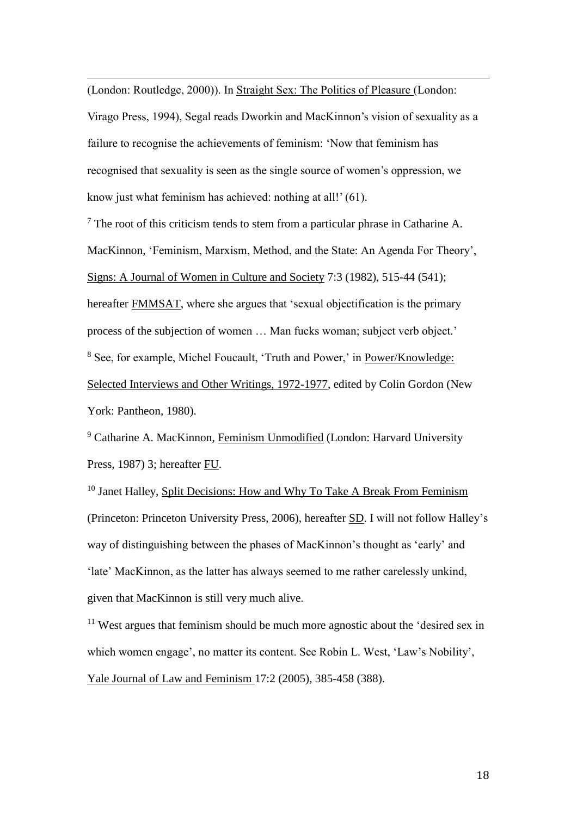(London: Routledge, 2000)). In Straight Sex: The Politics of Pleasure (London:

 $\overline{a}$ 

Virago Press, 1994), Segal reads Dworkin and MacKinnon's vision of sexuality as a failure to recognise the achievements of feminism: 'Now that feminism has recognised that sexuality is seen as the single source of women's oppression, we know just what feminism has achieved: nothing at all!' (61).

 $<sup>7</sup>$  The root of this criticism tends to stem from a particular phrase in Catharine A.</sup> MacKinnon, 'Feminism, Marxism, Method, and the State: An Agenda For Theory', Signs: A Journal of Women in Culture and Society 7:3 (1982), 515-44 (541); hereafter FMMSAT, where she argues that 'sexual objectification is the primary process of the subjection of women … Man fucks woman; subject verb object.' <sup>8</sup> See, for example, Michel Foucault, 'Truth and Power,' in Power/Knowledge: Selected Interviews and Other Writings, 1972-1977, edited by Colin Gordon (New York: Pantheon, 1980).

<sup>9</sup> Catharine A. MacKinnon, Feminism Unmodified (London: Harvard University Press, 1987) 3; hereafter FU.

<sup>10</sup> Janet Halley, Split Decisions: How and Why To Take A Break From Feminism (Princeton: Princeton University Press, 2006), hereafter SD. I will not follow Halley's way of distinguishing between the phases of MacKinnon's thought as 'early' and 'late' MacKinnon, as the latter has always seemed to me rather carelessly unkind, given that MacKinnon is still very much alive.

<sup>11</sup> West argues that feminism should be much more agnostic about the 'desired sex in which women engage', no matter its content. See Robin L. West, 'Law's Nobility', Yale Journal of Law and Feminism 17:2 (2005), 385-458 (388).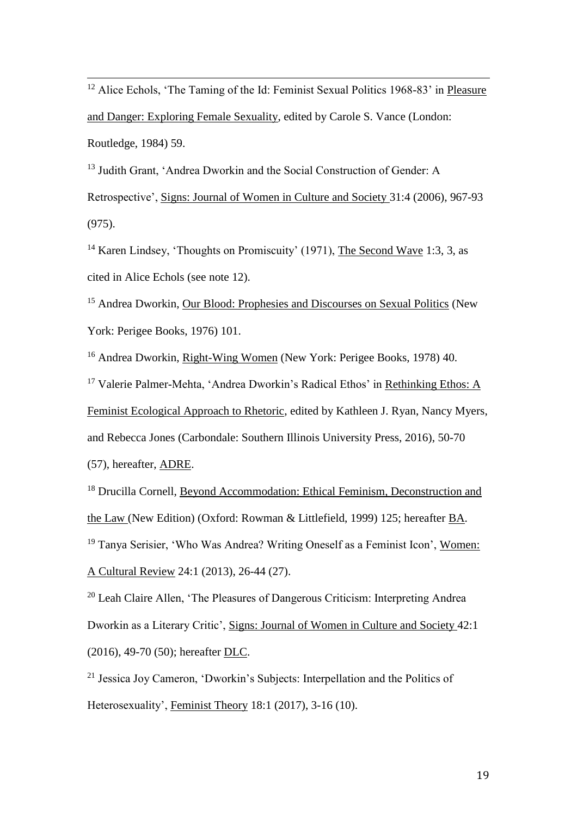$\overline{a}$ <sup>12</sup> Alice Echols, 'The Taming of the Id: Feminist Sexual Politics 1968-83' in Pleasure and Danger: Exploring Female Sexuality, edited by Carole S. Vance (London: Routledge, 1984) 59.

<sup>13</sup> Judith Grant, 'Andrea Dworkin and the Social Construction of Gender: A Retrospective', Signs: Journal of Women in Culture and Society 31:4 (2006), 967-93 (975).

<sup>14</sup> Karen Lindsey, 'Thoughts on Promiscuity' (1971), The Second Wave 1:3, 3, as cited in Alice Echols (see note 12).

<sup>15</sup> Andrea Dworkin, Our Blood: Prophesies and Discourses on Sexual Politics (New York: Perigee Books, 1976) 101.

<sup>16</sup> Andrea Dworkin, Right-Wing Women (New York: Perigee Books, 1978) 40.

<sup>17</sup> Valerie Palmer-Mehta, 'Andrea Dworkin's Radical Ethos' in Rethinking Ethos: A

Feminist Ecological Approach to Rhetoric, edited by Kathleen J. Ryan, Nancy Myers,

and Rebecca Jones (Carbondale: Southern Illinois University Press, 2016), 50-70

(57), hereafter, ADRE.

<sup>18</sup> Drucilla Cornell, Beyond Accommodation: Ethical Feminism, Deconstruction and the Law (New Edition) (Oxford: Rowman & Littlefield, 1999) 125; hereafter BA. <sup>19</sup> Tanya Serisier, 'Who Was Andrea? Writing Oneself as a Feminist Icon', Women: A Cultural Review 24:1 (2013), 26-44 (27).

<sup>20</sup> Leah Claire Allen, 'The Pleasures of Dangerous Criticism: Interpreting Andrea Dworkin as a Literary Critic', Signs: Journal of Women in Culture and Society 42:1 (2016), 49-70 (50); hereafter DLC.

<sup>21</sup> Jessica Joy Cameron, 'Dworkin's Subjects: Interpellation and the Politics of Heterosexuality', Feminist Theory 18:1 (2017), 3-16 (10).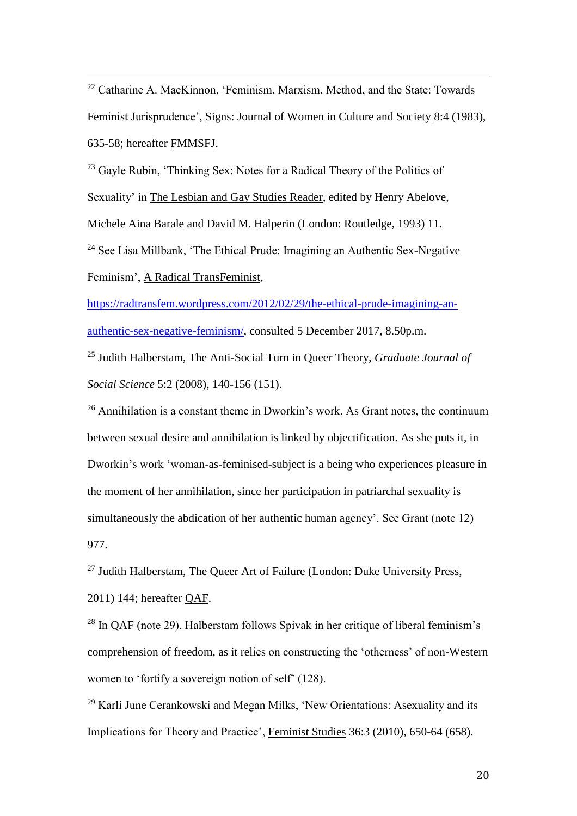$\overline{a}$  $22$  Catharine A. MacKinnon, 'Feminism, Marxism, Method, and the State: Towards Feminist Jurisprudence', Signs: Journal of Women in Culture and Society 8:4 (1983), 635-58; hereafter FMMSFJ.

<sup>23</sup> Gayle Rubin, 'Thinking Sex: Notes for a Radical Theory of the Politics of Sexuality' in The Lesbian and Gay Studies Reader, edited by Henry Abelove, Michele Aina Barale and David M. Halperin (London: Routledge, 1993) 11. <sup>24</sup> See Lisa Millbank, 'The Ethical Prude: Imagining an Authentic Sex-Negative Feminism', A Radical TransFeminist,

[https://radtransfem.wordpress.com/2012/02/29/the-ethical-prude-imagining-an](https://radtransfem.wordpress.com/2012/02/29/the-ethical-prude-imagining-an-authentic-sex-negative-feminism/)[authentic-sex-negative-feminism/,](https://radtransfem.wordpress.com/2012/02/29/the-ethical-prude-imagining-an-authentic-sex-negative-feminism/) consulted 5 December 2017, 8.50p.m.

<sup>25</sup> Judith Halberstam, The Anti-Social Turn in Queer Theory, *Graduate Journal of Social Science* 5:2 (2008), 140-156 (151).

 $26$  Annihilation is a constant theme in Dworkin's work. As Grant notes, the continuum between sexual desire and annihilation is linked by objectification. As she puts it, in Dworkin's work 'woman-as-feminised-subject is a being who experiences pleasure in the moment of her annihilation, since her participation in patriarchal sexuality is simultaneously the abdication of her authentic human agency'. See Grant (note 12) 977.

 $27$  Judith Halberstam, The Queer Art of Failure (London: Duke University Press, 2011) 144; hereafter QAF.

<sup>28</sup> In QAF (note 29), Halberstam follows Spivak in her critique of liberal feminism's comprehension of freedom, as it relies on constructing the 'otherness' of non-Western women to 'fortify a sovereign notion of self' (128).

<sup>29</sup> Karli June Cerankowski and Megan Milks, 'New Orientations: Asexuality and its Implications for Theory and Practice', Feminist Studies 36:3 (2010), 650-64 (658).